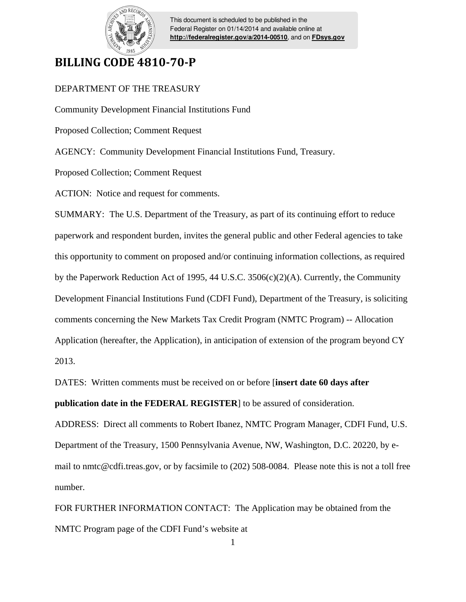

This document is scheduled to be published in the Federal Register on 01/14/2014 and available online at **<http://federalregister.gov/a/2014-00510>**, and on **[FDsys.gov](http://federalregister.gov/a/2014-00510.pdf)**

## **BILLING CODE 4810-70-P**

## DEPARTMENT OF THE TREASURY

Community Development Financial Institutions Fund

Proposed Collection; Comment Request

AGENCY: Community Development Financial Institutions Fund, Treasury.

Proposed Collection; Comment Request

ACTION: Notice and request for comments.

SUMMARY: The U.S. Department of the Treasury, as part of its continuing effort to reduce paperwork and respondent burden, invites the general public and other Federal agencies to take this opportunity to comment on proposed and/or continuing information collections, as required by the Paperwork Reduction Act of 1995, 44 U.S.C. 3506(c)(2)(A). Currently, the Community Development Financial Institutions Fund (CDFI Fund), Department of the Treasury, is soliciting comments concerning the New Markets Tax Credit Program (NMTC Program) -- Allocation Application (hereafter, the Application), in anticipation of extension of the program beyond CY 2013.

DATES: Written comments must be received on or before [**insert date 60 days after** 

**publication date in the FEDERAL REGISTER**] to be assured of consideration.

ADDRESS: Direct all comments to Robert Ibanez, NMTC Program Manager, CDFI Fund, U.S. Department of the Treasury, 1500 Pennsylvania Avenue, NW, Washington, D.C. 20220, by email to nmtc@cdfi.treas.gov, or by facsimile to (202) 508-0084. Please note this is not a toll free number.

FOR FURTHER INFORMATION CONTACT: The Application may be obtained from the NMTC Program page of the CDFI Fund's website at

1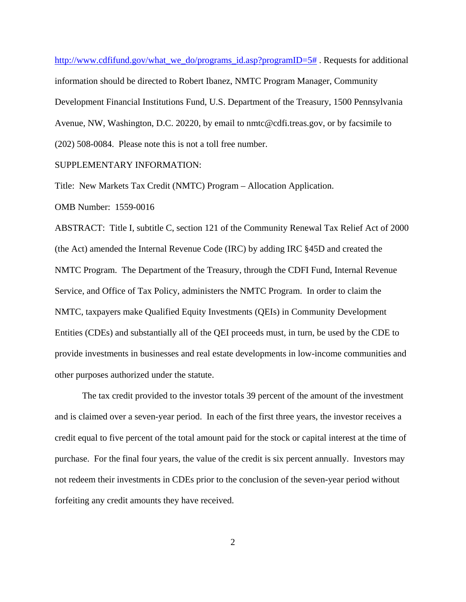http://www.cdfifund.gov/what\_we\_do/programs\_id.asp?programID=5#. Requests for additional information should be directed to Robert Ibanez, NMTC Program Manager, Community Development Financial Institutions Fund, U.S. Department of the Treasury, 1500 Pennsylvania Avenue, NW, Washington, D.C. 20220, by email to nmtc@cdfi.treas.gov, or by facsimile to (202) 508-0084. Please note this is not a toll free number.

## SUPPLEMENTARY INFORMATION:

Title: New Markets Tax Credit (NMTC) Program – Allocation Application. OMB Number: 1559-0016

ABSTRACT: Title I, subtitle C, section 121 of the Community Renewal Tax Relief Act of 2000 (the Act) amended the Internal Revenue Code (IRC) by adding IRC §45D and created the NMTC Program. The Department of the Treasury, through the CDFI Fund, Internal Revenue Service, and Office of Tax Policy, administers the NMTC Program. In order to claim the NMTC, taxpayers make Qualified Equity Investments (QEIs) in Community Development Entities (CDEs) and substantially all of the QEI proceeds must, in turn, be used by the CDE to provide investments in businesses and real estate developments in low-income communities and other purposes authorized under the statute.

 The tax credit provided to the investor totals 39 percent of the amount of the investment and is claimed over a seven-year period. In each of the first three years, the investor receives a credit equal to five percent of the total amount paid for the stock or capital interest at the time of purchase. For the final four years, the value of the credit is six percent annually. Investors may not redeem their investments in CDEs prior to the conclusion of the seven-year period without forfeiting any credit amounts they have received.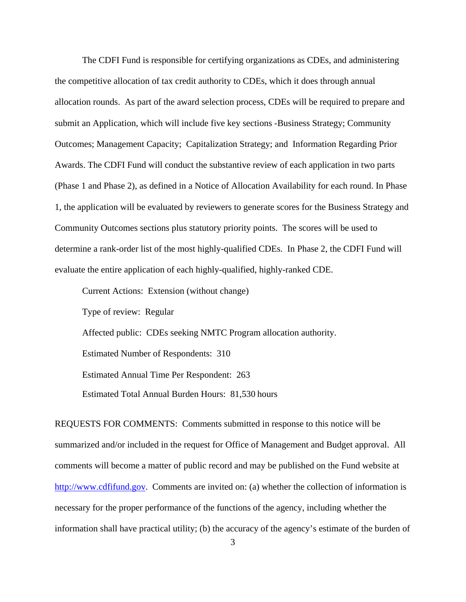The CDFI Fund is responsible for certifying organizations as CDEs, and administering the competitive allocation of tax credit authority to CDEs, which it does through annual allocation rounds. As part of the award selection process, CDEs will be required to prepare and submit an Application, which will include five key sections -Business Strategy; Community Outcomes; Management Capacity; Capitalization Strategy; and Information Regarding Prior Awards. The CDFI Fund will conduct the substantive review of each application in two parts (Phase 1 and Phase 2), as defined in a Notice of Allocation Availability for each round. In Phase 1, the application will be evaluated by reviewers to generate scores for the Business Strategy and Community Outcomes sections plus statutory priority points. The scores will be used to determine a rank-order list of the most highly-qualified CDEs. In Phase 2, the CDFI Fund will evaluate the entire application of each highly-qualified, highly-ranked CDE.

 Type of review: Regular Affected public: CDEs seeking NMTC Program allocation authority. Estimated Number of Respondents: 310 Estimated Annual Time Per Respondent: 263 Estimated Total Annual Burden Hours: 81,530 hours

Current Actions: Extension (without change)

REQUESTS FOR COMMENTS: Comments submitted in response to this notice will be summarized and/or included in the request for Office of Management and Budget approval. All comments will become a matter of public record and may be published on the Fund website at http://www.cdfifund.gov. Comments are invited on: (a) whether the collection of information is necessary for the proper performance of the functions of the agency, including whether the information shall have practical utility; (b) the accuracy of the agency's estimate of the burden of